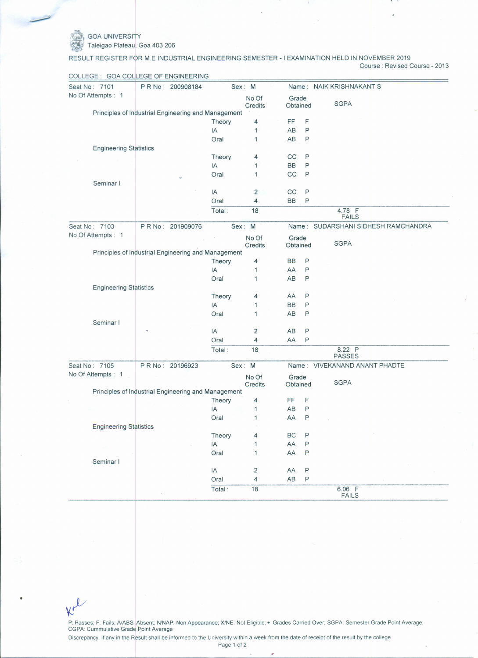*COA UNIVERSIT* 

Kr

~~ Taleigao Plateau, Goa 403206

RESULT REGISTER FOR M.E INDUSTRIAL ENGINEERING SEMESTER - I EXAMINATION HELD IN NOVEMBER 2019 Course: Revised Course - 2013

| Seat No: 7101      |                                                     | PR No: 200908184 |                  | Sex: M           |                         |                   |              | Name: NAIK KRISHNAKANT S      |                                     |
|--------------------|-----------------------------------------------------|------------------|------------------|------------------|-------------------------|-------------------|--------------|-------------------------------|-------------------------------------|
| No Of Attempts : 1 |                                                     |                  |                  | No Of<br>Credits |                         | Grade<br>Obtained |              | <b>SGPA</b>                   |                                     |
|                    | Principles of Industrial Engineering and Management |                  |                  |                  |                         |                   |              |                               |                                     |
|                    |                                                     |                  |                  | Theory           | 4                       | FF                | F            |                               |                                     |
|                    |                                                     |                  |                  | IA               | 1                       | AB                | Ρ            |                               |                                     |
|                    |                                                     |                  |                  | Oral             | 1                       | AB                | Ρ            |                               |                                     |
|                    | <b>Engineering Statistics</b>                       |                  |                  |                  |                         |                   |              |                               |                                     |
|                    |                                                     |                  |                  | Theory           | 4                       | CC                | P            |                               |                                     |
|                    |                                                     |                  |                  | IA               | 1                       | <b>BB</b>         | P            |                               |                                     |
|                    |                                                     |                  |                  | Oral             | 1                       | CC                | P            |                               |                                     |
|                    | Seminar I                                           |                  |                  |                  |                         |                   |              |                               |                                     |
|                    |                                                     |                  |                  | IA               | $\overline{c}$          | CC                | P            |                               |                                     |
|                    |                                                     |                  |                  | Oral             | 4                       | <b>BB</b>         | P            |                               |                                     |
|                    |                                                     |                  |                  | Total:           | 18                      |                   |              | 4.78 F                        |                                     |
|                    |                                                     |                  |                  |                  |                         |                   |              | <b>FAILS</b>                  |                                     |
|                    | Seat No: 7103                                       |                  | PR No: 201909076 |                  | Sex: M                  |                   |              |                               | Name: SUDARSHANI SIDHESH RAMCHANDRA |
|                    | No Of Attempts : 1                                  |                  |                  |                  | No Of<br>Credits        | Grade<br>Obtained |              | <b>SGPA</b>                   |                                     |
|                    | Principles of Industrial Engineering and Management |                  |                  |                  |                         |                   |              |                               |                                     |
|                    |                                                     |                  |                  | Theory           | 4                       | <b>BB</b>         | P            |                               |                                     |
|                    |                                                     |                  |                  | IA               | 1                       | AA                | P            |                               |                                     |
|                    |                                                     |                  |                  | Oral             | 1                       | AB                | P            |                               |                                     |
|                    | <b>Engineering Statistics</b>                       |                  |                  |                  |                         |                   |              |                               |                                     |
|                    |                                                     |                  |                  | Theory           | 4                       | AA                | P            |                               |                                     |
|                    |                                                     |                  |                  | IA               | 1                       | <b>BB</b>         | P            |                               |                                     |
|                    |                                                     |                  |                  | Oral             | 1                       | AB                | P            |                               |                                     |
|                    | Seminar I                                           |                  |                  |                  |                         |                   |              |                               |                                     |
|                    |                                                     |                  |                  | IA               | $\overline{\mathbf{c}}$ | AB                | P            |                               |                                     |
|                    |                                                     |                  |                  | Oral             | 4                       | AA                | Ρ            |                               |                                     |
|                    |                                                     |                  |                  | Total:           | 18                      |                   |              | 8.22 P<br><b>PASSES</b>       |                                     |
|                    | Seat No: 7105                                       |                  | P R No: 20196923 |                  | Sex: M                  |                   |              | Name: VIVEKANAND ANANT PHADTE |                                     |
|                    | No Of Attempts : 1                                  |                  |                  |                  |                         |                   |              |                               |                                     |
|                    |                                                     |                  |                  |                  | No Of<br><b>Credits</b> | Grade<br>Obtained |              | <b>SGPA</b>                   |                                     |
|                    | Principles of Industrial Engineering and Management |                  |                  |                  |                         |                   |              |                               |                                     |
|                    |                                                     |                  |                  | Theory           | 4                       | FF                | F            |                               |                                     |
|                    |                                                     |                  |                  | IA               | 1                       | AB                | P            |                               |                                     |
|                    |                                                     |                  |                  | Oral             | 1                       | AA                | P            |                               |                                     |
|                    | <b>Engineering Statistics</b>                       |                  |                  |                  |                         |                   |              |                               |                                     |
|                    |                                                     |                  |                  | Theory           | 4                       | BC                | $\mathsf{P}$ |                               |                                     |
|                    |                                                     |                  |                  | IA               | 1                       | AA                | P            |                               |                                     |
|                    |                                                     |                  |                  | Oral             | 1                       | AA                | P            |                               |                                     |
|                    | Seminar I                                           |                  |                  |                  |                         |                   |              |                               |                                     |
|                    |                                                     |                  |                  | IA               | $\overline{c}$          | AA                | $\mathsf{P}$ |                               |                                     |
|                    |                                                     |                  |                  | Oral             | 4                       | AB                | P            |                               |                                     |
|                    |                                                     |                  |                  |                  |                         |                   |              |                               |                                     |
|                    |                                                     |                  |                  | Total:           | 18                      |                   |              | 6.06 F<br>FAILS               |                                     |

COLLEGE: GOA COI..,LEGE OF ENGINEERING

P: Passes; F: Fails; A/ABS:|Absent; N'NAP: Non Appearance; X/NE: Not Eligible; +: Grades Carried Over; SGPA: Semester Grade Point Average CGPA: Cummulative Grade Point Averag Discrepancy, if any in the Result shall be informed to the University within a week from the date of receipt of the result by the college

Page 1 of 2